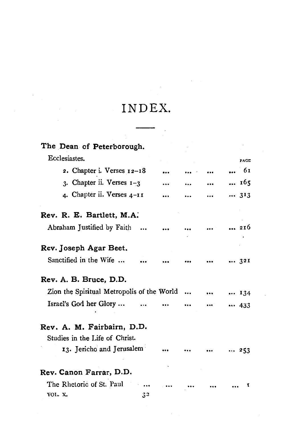## INDEX.

 $\alpha = 1$ 

| The Dean of Peterborough.                  |    |  |          |      |
|--------------------------------------------|----|--|----------|------|
| Ecclesiastes.                              |    |  |          | PAGE |
| 2. Chapter i. Verses 12-18                 |    |  |          | 61   |
| 3. Chapter ii. Verses 1-3                  |    |  |          | 165  |
| 4. Chapter ii. Verses 4-11                 |    |  |          | 313  |
| Rev. R. E. Bartlett, M.A.                  |    |  |          |      |
| Abraham Justified by Faith                 |    |  |          | 216  |
| Rev. Joseph Agar Beet.                     |    |  |          |      |
| Sanctified in the Wife                     |    |  |          | 321  |
| Rev. A. B. Bruce, D.D.                     |    |  |          |      |
| Zion the Spiritual Metropolis of the World |    |  | $\cdots$ | 134  |
| Israel's God her Glory                     |    |  |          | 433  |
| Rev. A. M. Fairbairn, D.D.                 |    |  |          |      |
| Studies in the Life of Christ.             |    |  |          |      |
| 13. Jericho and Jerusalem                  |    |  |          | 253  |
| Rev. Canon Farrar, D.D.                    |    |  |          |      |
| The Rhetoric of St. Paul                   |    |  |          | 1    |
| VOL. X.                                    | 32 |  |          |      |
|                                            |    |  |          |      |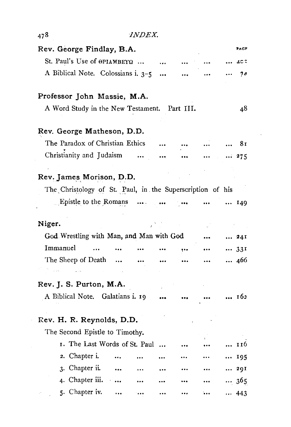| 478                                                       | <i>INDEX.</i>                 |                   |           |      |
|-----------------------------------------------------------|-------------------------------|-------------------|-----------|------|
| Rev. George Findlay, B.A.                                 |                               |                   |           | PAGF |
| St. Paul's Use of OPIAMBEYQ                               |                               |                   |           | ac t |
| A Biblical Note. Colossians i. 3-5                        |                               |                   |           | 74   |
| Professor John Massie, M.A.                               |                               |                   |           |      |
| A Word Study in the New Testament. Part III.              |                               |                   |           | 48   |
| Rev. George Matheson, D.D.                                |                               |                   |           |      |
| The Paradox of Christian Ethics                           |                               |                   |           | 81   |
| Christianity and Judaism                                  | $\ddotsc$                     |                   |           | 275  |
|                                                           |                               |                   |           |      |
| Rev. James Morison, D.D.                                  |                               |                   |           |      |
| The Christology of St. Paul, in the Superscription of his |                               |                   |           |      |
| Epistle to the Romans $\dots$                             |                               | $\sim$ 1000 $\pm$ |           | 149  |
| Niger.                                                    |                               |                   |           |      |
| God Wrestling with Man, and Man with God                  |                               |                   |           | 24I  |
| Immanuel                                                  |                               |                   |           | 331  |
| The Sheep of Death                                        | $\ddotsc$                     |                   | $\ddotsc$ | 466  |
|                                                           |                               |                   |           |      |
| Rev. J. S. Purton, M.A.                                   |                               |                   |           |      |
| A Biblical Note. Galatians i. 19                          |                               |                   |           | 163  |
| Rev. H. R. Reynolds, D.D.                                 |                               |                   |           |      |
| The Second Epistle to Timothy.                            |                               |                   |           |      |
|                                                           | I. The Last Words of St. Paul |                   |           | 116  |
| 2. Chapter i.                                             |                               |                   |           | 195  |
| 3. Chapter ii.                                            | $\cdots$                      |                   |           | 29I  |
| 4. Chapter iii.                                           |                               |                   | $\cdots$  | 365  |
| 5. Chapter iv.                                            |                               |                   |           | 443  |
|                                                           |                               |                   |           |      |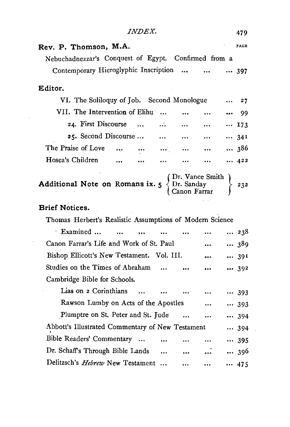*INDEX.* 479

| Rev. P. Thomson, M.A.                                    |                      |           |                                                |           | PAGE |
|----------------------------------------------------------|----------------------|-----------|------------------------------------------------|-----------|------|
| Nebuchadnezzar's Conquest of Egypt. Confirmed from a     |                      |           |                                                |           |      |
| Contemporary Hieroglyphic Inscription                    |                      |           | $\ddotsc$                                      |           | 397  |
| Editor.                                                  |                      |           |                                                |           |      |
| VI. The Soliloquy of Job. Second Monologue               |                      |           |                                                |           | 27   |
| VII. The Intervention of Elihu                           |                      | $\ddotsc$ |                                                |           | 99   |
| 24. First Discourse                                      | $\sim$               | $\cdots$  | $\cdots$                                       | $\cdots$  | 173  |
| 25. Second Discourse                                     |                      | $\cdots$  | $\bullet\bullet\bullet\cdots$                  | $\cdots$  | 341  |
| The Praise of Love                                       | $\cdots$<br>$\cdots$ | $\cdots$  | $\bullet\bullet\bullet$                        | $\ddotsc$ | 386  |
| Hosea's Children                                         | $\ddotsc$            |           | $\cdots$                                       |           | 422  |
| Additional Note on Romans ix. 5                          |                      |           | (Dr. Vance Smith<br>Dr. Sanday<br>Canon Farrar |           | 232  |
| <b>Brief Notices.</b>                                    |                      |           |                                                |           |      |
| Thomas Herbert's Realistic Assumptions of Modern Science |                      |           |                                                |           |      |
| Examined                                                 |                      |           |                                                |           | 238  |
| Canon Farrar's Life and Work of St. Paul                 |                      |           |                                                |           | 389  |
| Bishop Ellicott's New Testament. Vol. III.               |                      |           |                                                |           | 39I  |
| Studies on the Times of Abraham                          |                      |           |                                                |           | 392  |
| Cambridge Bible for Schools.                             |                      |           |                                                |           |      |
| Lias on 2 Corinthians                                    | $\ddotsc$            |           |                                                |           | 393  |
| Rawson Lumby on Acts of the Apostles                     |                      |           |                                                |           | 393  |
| Plumptre on St. Peter and St. Jude                       |                      |           | $\cdots$                                       | $\cdots$  | 394  |
| Abbott's Illustrated Commentary of New Testament         |                      |           |                                                |           | 394  |
| Bible Readers' Commentary                                |                      |           |                                                |           | 395  |
| Dr. Schaff's Through Bible Lands                         |                      | $\ddotsc$ |                                                |           | 396  |
| Delitzsch's Hebrew New Testament                         |                      |           |                                                |           | 475  |